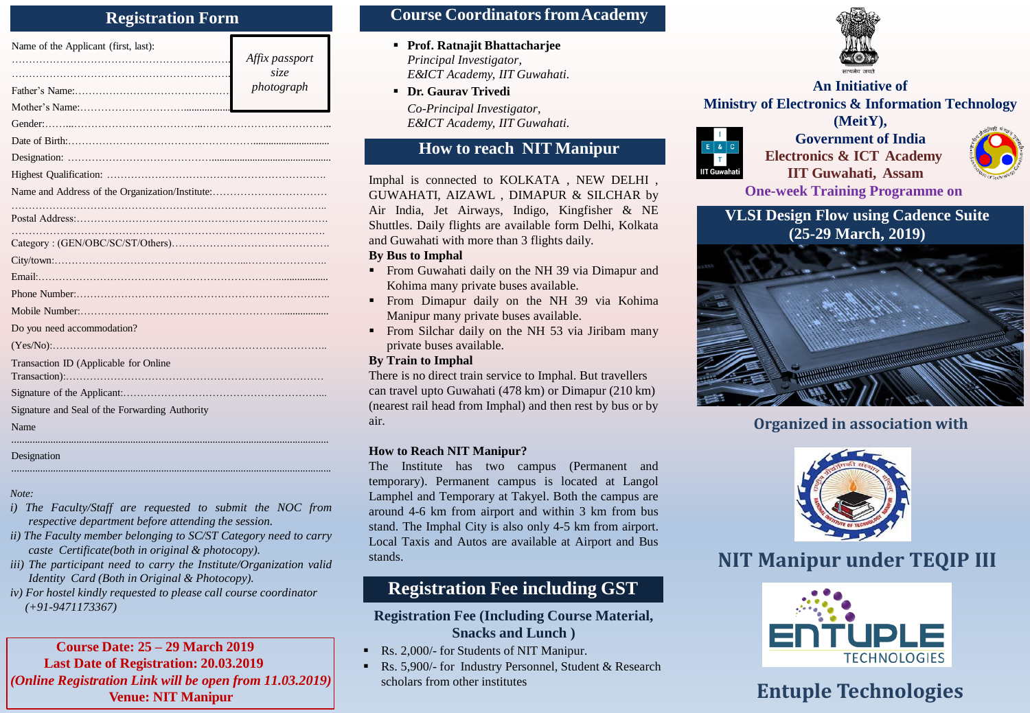### **Registration Form**

| Name of the Applicant (first, last):           | Affix passport<br>size |
|------------------------------------------------|------------------------|
|                                                | photograph             |
|                                                |                        |
|                                                |                        |
|                                                |                        |
|                                                |                        |
|                                                |                        |
|                                                |                        |
|                                                |                        |
|                                                |                        |
|                                                |                        |
|                                                |                        |
|                                                |                        |
|                                                |                        |
| Do you need accommodation?                     |                        |
|                                                |                        |
| Transaction ID (Applicable for Online          |                        |
|                                                |                        |
| Signature and Seal of the Forwarding Authority |                        |
| Name                                           |                        |
|                                                |                        |

### Designation

*Note:*

*i) The Faculty/Staff are requested to submit the NOC from respective department before attending the session.*

............................................................................................................................

- *ii) The Faculty member belonging to SC/ST Category need to carry caste Certificate(both in original & photocopy).*
- *iii) The participant need to carry the Institute/Organization valid Identity Card (Both in Original & Photocopy).*
- *iv) For hostel kindly requested to please call course coordinator (+91-9471173367)*

### **Course Date: 25 – 29 March 2019 Last Date of Registration: 20.03.2019** *(Online Registration Link will be open from 11.03.2019)* **Venue: NIT Manipur Entuple Technologies**

## **Course CoordinatorsfromAcademy**

- **Prof. Ratnajit Bhattacharjee** *Principal Investigator, E&ICT Academy, IIT Guwahati.*
- *Co-Principal Investigator,*

*E&ICT Academy, IIT Guwahati.*

## **How to reach NIT Manipur**

Imphal is connected to KOLKATA , NEW DELHI , GUWAHATI, AIZAWL , DIMAPUR & SILCHAR by Air India, Jet Airways, Indigo, Kingfisher & NE Shuttles. Daily flights are available form Delhi, Kolkata and Guwahati with more than 3 flights daily.

### **By Bus to Imphal**

- **From Guwahati daily on the NH 39 via Dimapur and** Kohima many private buses available.
- **From Dimapur daily on the NH 39 via Kohima** Manipur many private buses available.
- From Silchar daily on the NH 53 via Jiribam many private buses available.

### **By Train to Imphal**

There is no direct train service to Imphal. But travellers can travel upto Guwahati (478 km) or Dimapur (210 km) (nearest rail head from Imphal) and then rest by bus or by air.

### **How to Reach NIT Manipur?**

The Institute has two campus (Permanent and temporary). Permanent campus is located at Langol Lamphel and Temporary at Takyel. Both the campus are around 4-6 km from airport and within 3 km from bus stand. The Imphal City is also only 4-5 km from airport. Local Taxis and Autos are available at Airport and Bus stands.

# **Registration Fee including GST**

### **Registration Fee (Including Course Material, Snacks and Lunch )**

- Rs. 2,000/- for Students of NIT Manipur.
- Rs. 5,900/- for Industry Personnel, Student & Research scholars from other institutes



### *photograph* **An Initiative of Dr. Gaurav Trivedi Ministry of Electronics & Information Technology (MeitY),**



**Government of India Electronics & ICT Academy IIT Guwahati, Assam**



**One-week Training Programme on**

**VLSI Design Flow using Cadence Suite (25-29 March, 2019)**



## **Organized in association with**



# **NIT Manipur under TEQIP III**